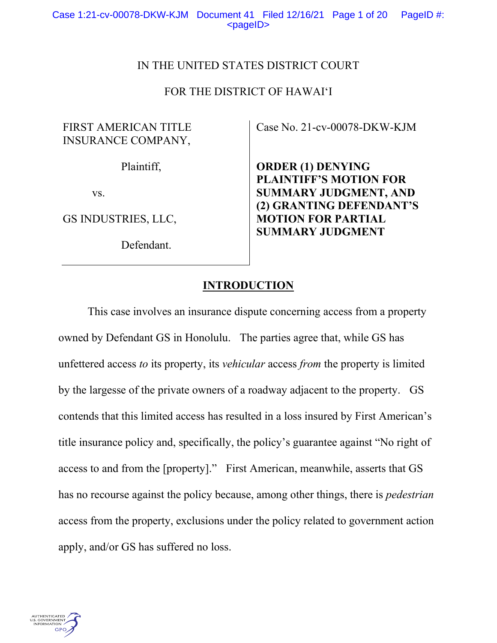## IN THE UNITED STATES DISTRICT COURT

## FOR THE DISTRICT OF HAWAI'I

## FIRST AMERICAN TITLE INSURANCE COMPANY,

Plaintiff,

vs.

GS INDUSTRIES, LLC,

Defendant.

Case No. 21-cv-00078-DKW-KJM

**ORDER (1) DENYING PLAINTIFF'S MOTION FOR SUMMARY JUDGMENT, AND (2) GRANTING DEFENDANT'S MOTION FOR PARTIAL SUMMARY JUDGMENT**

## **INTRODUCTION**

This case involves an insurance dispute concerning access from a property owned by Defendant GS in Honolulu. The parties agree that, while GS has unfettered access *to* its property, its *vehicular* access *from* the property is limited by the largesse of the private owners of a roadway adjacent to the property. GS contends that this limited access has resulted in a loss insured by First American's title insurance policy and, specifically, the policy's guarantee against "No right of access to and from the [property]." First American, meanwhile, asserts that GS has no recourse against the policy because, among other things, there is *pedestrian* access from the property, exclusions under the policy related to government action apply, and/or GS has suffered no loss.

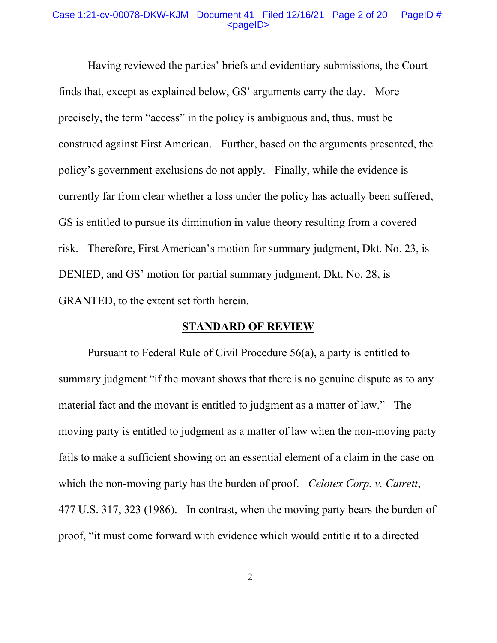#### Case 1:21-cv-00078-DKW-KJM Document 41 Filed 12/16/21 Page 2 of 20 PageID #: <pageID>

Having reviewed the parties' briefs and evidentiary submissions, the Court finds that, except as explained below, GS' arguments carry the day. More precisely, the term "access" in the policy is ambiguous and, thus, must be construed against First American. Further, based on the arguments presented, the policy's government exclusions do not apply. Finally, while the evidence is currently far from clear whether a loss under the policy has actually been suffered, GS is entitled to pursue its diminution in value theory resulting from a covered risk. Therefore, First American's motion for summary judgment, Dkt. No. 23, is DENIED, and GS' motion for partial summary judgment, Dkt. No. 28, is GRANTED, to the extent set forth herein.

## **STANDARD OF REVIEW**

Pursuant to Federal Rule of Civil Procedure 56(a), a party is entitled to summary judgment "if the movant shows that there is no genuine dispute as to any material fact and the movant is entitled to judgment as a matter of law." The moving party is entitled to judgment as a matter of law when the non-moving party fails to make a sufficient showing on an essential element of a claim in the case on which the non-moving party has the burden of proof. *Celotex Corp. v. Catrett*, 477 U.S. 317, 323 (1986). In contrast, when the moving party bears the burden of proof, "it must come forward with evidence which would entitle it to a directed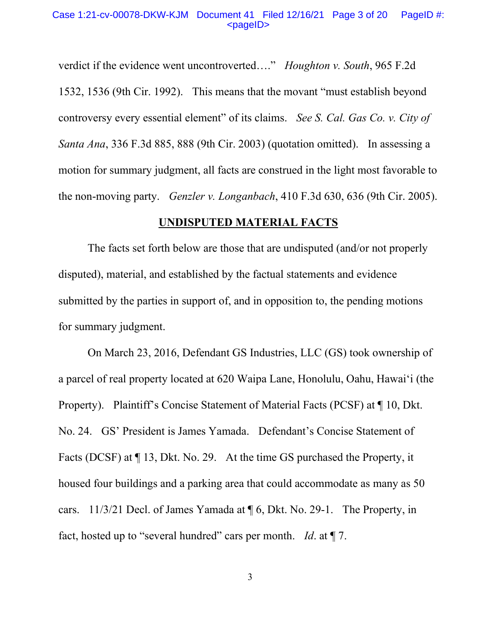#### Case 1:21-cv-00078-DKW-KJM Document 41 Filed 12/16/21 Page 3 of 20 PageID #: <pageID>

verdict if the evidence went uncontroverted…." *Houghton v. South*, 965 F.2d 1532, 1536 (9th Cir. 1992). This means that the movant "must establish beyond controversy every essential element" of its claims. *See S. Cal. Gas Co. v. City of Santa Ana*, 336 F.3d 885, 888 (9th Cir. 2003) (quotation omitted). In assessing a motion for summary judgment, all facts are construed in the light most favorable to the non-moving party. *Genzler v. Longanbach*, 410 F.3d 630, 636 (9th Cir. 2005).

#### **UNDISPUTED MATERIAL FACTS**

The facts set forth below are those that are undisputed (and/or not properly disputed), material, and established by the factual statements and evidence submitted by the parties in support of, and in opposition to, the pending motions for summary judgment.

On March 23, 2016, Defendant GS Industries, LLC (GS) took ownership of a parcel of real property located at 620 Waipa Lane, Honolulu, Oahu, Hawai'i (the Property). Plaintiff's Concise Statement of Material Facts (PCSF) at ¶ 10, Dkt. No. 24. GS' President is James Yamada. Defendant's Concise Statement of Facts (DCSF) at ¶ 13, Dkt. No. 29. At the time GS purchased the Property, it housed four buildings and a parking area that could accommodate as many as 50 cars. 11/3/21 Decl. of James Yamada at ¶ 6, Dkt. No. 29-1. The Property, in fact, hosted up to "several hundred" cars per month. *Id*. at ¶ 7.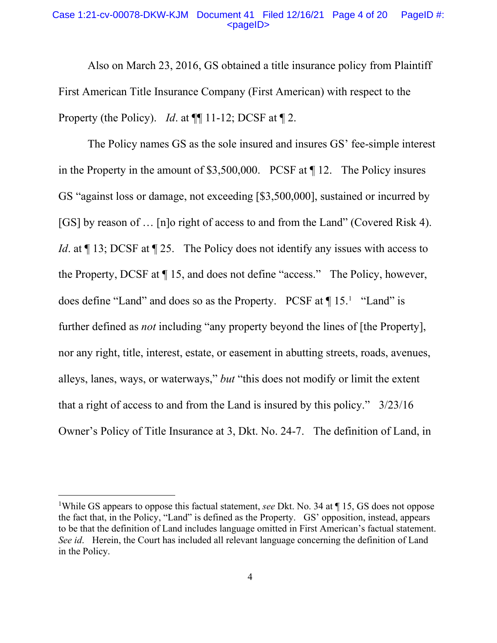#### Case 1:21-cv-00078-DKW-KJM Document 41 Filed 12/16/21 Page 4 of 20 PageID #:  $<$ pageID $>$

Also on March 23, 2016, GS obtained a title insurance policy from Plaintiff First American Title Insurance Company (First American) with respect to the Property (the Policy). *Id.* at  $\P\P$  11-12; DCSF at  $\P$  2.

The Policy names GS as the sole insured and insures GS' fee-simple interest in the Property in the amount of \$3,500,000. PCSF at ¶ 12. The Policy insures GS "against loss or damage, not exceeding [\$3,500,000], sustained or incurred by [GS] by reason of … [n]o right of access to and from the Land" (Covered Risk 4). *Id.* at  $\P$  13; DCSF at  $\P$  25. The Policy does not identify any issues with access to the Property, DCSF at ¶ 15, and does not define "access." The Policy, however, does define "Land" and does so as the Property. PCSF at  $\P$ 15.<sup>1</sup> "Land" is further defined as *not* including "any property beyond the lines of [the Property], nor any right, title, interest, estate, or easement in abutting streets, roads, avenues, alleys, lanes, ways, or waterways," *but* "this does not modify or limit the extent that a right of access to and from the Land is insured by this policy." 3/23/16 Owner's Policy of Title Insurance at 3, Dkt. No. 24-7. The definition of Land, in

<sup>&</sup>lt;sup>1</sup>While GS appears to oppose this factual statement, *see* Dkt. No. 34 at ¶ 15, GS does not oppose the fact that, in the Policy, "Land" is defined as the Property. GS' opposition, instead, appears to be that the definition of Land includes language omitted in First American's factual statement. *See id*. Herein, the Court has included all relevant language concerning the definition of Land in the Policy.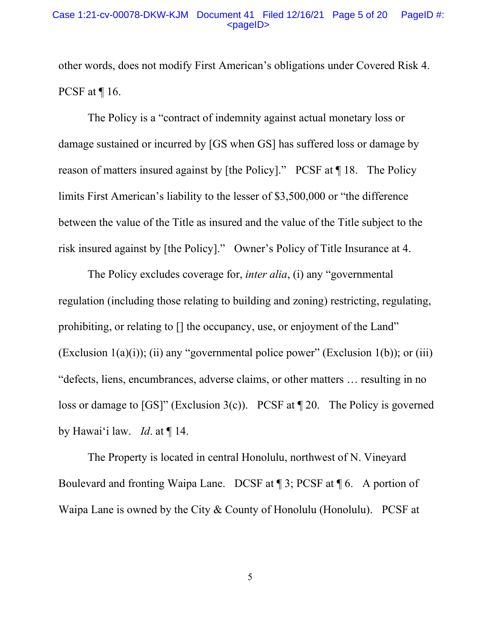#### Case 1:21-cv-00078-DKW-KJM Document 41 Filed 12/16/21 Page 5 of 20 PageID #: <pageID>

other words, does not modify First American's obligations under Covered Risk 4. PCSF at ¶ 16.

The Policy is a "contract of indemnity against actual monetary loss or damage sustained or incurred by [GS when GS] has suffered loss or damage by reason of matters insured against by [the Policy]." PCSF at ¶ 18. The Policy limits First American's liability to the lesser of \$3,500,000 or "the difference between the value of the Title as insured and the value of the Title subject to the risk insured against by [the Policy]." Owner's Policy of Title Insurance at 4.

The Policy excludes coverage for, *inter alia*, (i) any "governmental regulation (including those relating to building and zoning) restricting, regulating, prohibiting, or relating to [] the occupancy, use, or enjoyment of the Land" (Exclusion  $1(a)(i)$ ); (ii) any "governmental police power" (Exclusion  $1(b)$ ); or (iii) "defects, liens, encumbrances, adverse claims, or other matters … resulting in no loss or damage to [GS]" (Exclusion 3(c)). PCSF at ¶ 20. The Policy is governed by Hawai'i law. *Id*. at ¶ 14.

The Property is located in central Honolulu, northwest of N. Vineyard Boulevard and fronting Waipa Lane. DCSF at ¶ 3; PCSF at ¶ 6. A portion of Waipa Lane is owned by the City & County of Honolulu (Honolulu). PCSF at

5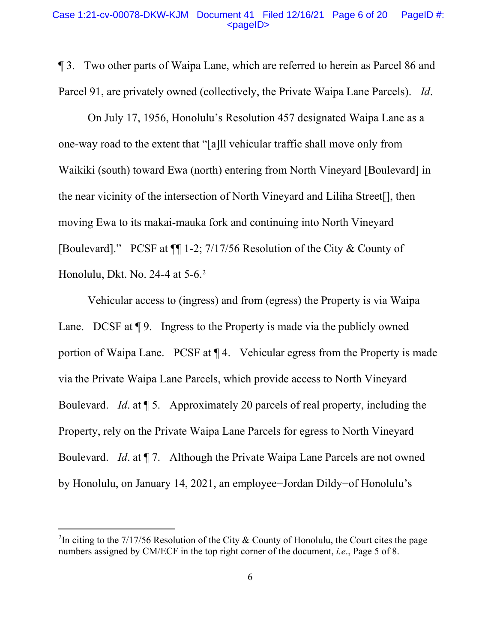#### Case 1:21-cv-00078-DKW-KJM Document 41 Filed 12/16/21 Page 6 of 20 PageID #:  $<$ pageID $>$

¶ 3. Two other parts of Waipa Lane, which are referred to herein as Parcel 86 and Parcel 91, are privately owned (collectively, the Private Waipa Lane Parcels). *Id*.

On July 17, 1956, Honolulu's Resolution 457 designated Waipa Lane as a one-way road to the extent that "[a]ll vehicular traffic shall move only from Waikiki (south) toward Ewa (north) entering from North Vineyard [Boulevard] in the near vicinity of the intersection of North Vineyard and Liliha Street[], then moving Ewa to its makai-mauka fork and continuing into North Vineyard [Boulevard]." PCSF at ¶¶ 1-2; 7/17/56 Resolution of the City & County of Honolulu, Dkt. No. 24-4 at 5-6.2

Vehicular access to (ingress) and from (egress) the Property is via Waipa Lane. DCSF at  $\P$  9. Ingress to the Property is made via the publicly owned portion of Waipa Lane. PCSF at ¶ 4. Vehicular egress from the Property is made via the Private Waipa Lane Parcels, which provide access to North Vineyard Boulevard. *Id*. at ¶ 5. Approximately 20 parcels of real property, including the Property, rely on the Private Waipa Lane Parcels for egress to North Vineyard Boulevard. *Id*. at ¶ 7. Although the Private Waipa Lane Parcels are not owned by Honolulu, on January 14, 2021, an employee−Jordan Dildy−of Honolulu's

<sup>&</sup>lt;sup>2</sup>In citing to the 7/17/56 Resolution of the City & County of Honolulu, the Court cites the page numbers assigned by CM/ECF in the top right corner of the document, *i.e*., Page 5 of 8.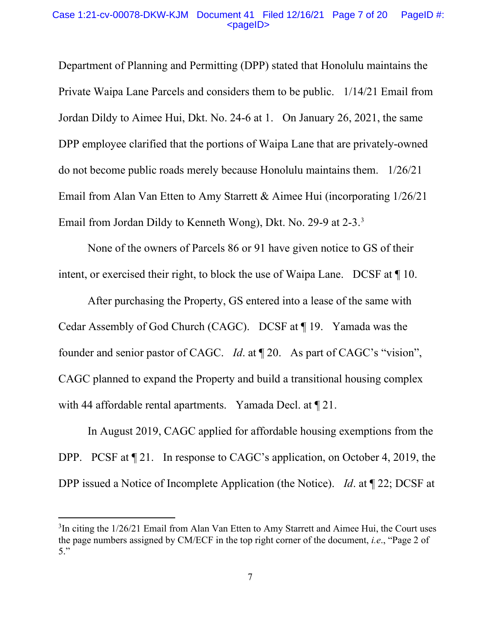#### Case 1:21-cv-00078-DKW-KJM Document 41 Filed 12/16/21 Page 7 of 20 PageID #:  $<$ pageID $>$

Department of Planning and Permitting (DPP) stated that Honolulu maintains the Private Waipa Lane Parcels and considers them to be public. 1/14/21 Email from Jordan Dildy to Aimee Hui, Dkt. No. 24-6 at 1. On January 26, 2021, the same DPP employee clarified that the portions of Waipa Lane that are privately-owned do not become public roads merely because Honolulu maintains them. 1/26/21 Email from Alan Van Etten to Amy Starrett & Aimee Hui (incorporating 1/26/21 Email from Jordan Dildy to Kenneth Wong), Dkt. No. 29-9 at 2-3.3

None of the owners of Parcels 86 or 91 have given notice to GS of their intent, or exercised their right, to block the use of Waipa Lane. DCSF at ¶ 10.

After purchasing the Property, GS entered into a lease of the same with Cedar Assembly of God Church (CAGC). DCSF at ¶ 19. Yamada was the founder and senior pastor of CAGC. *Id*. at ¶ 20. As part of CAGC's "vision", CAGC planned to expand the Property and build a transitional housing complex with 44 affordable rental apartments. Yamada Decl. at  $\llbracket 21$ .

In August 2019, CAGC applied for affordable housing exemptions from the DPP. PCSF at  $\P$  21. In response to CAGC's application, on October 4, 2019, the DPP issued a Notice of Incomplete Application (the Notice). *Id*. at ¶ 22; DCSF at

 $3$ In citing the  $1/26/21$  Email from Alan Van Etten to Amy Starrett and Aimee Hui, the Court uses the page numbers assigned by CM/ECF in the top right corner of the document, *i.e*., "Page 2 of 5."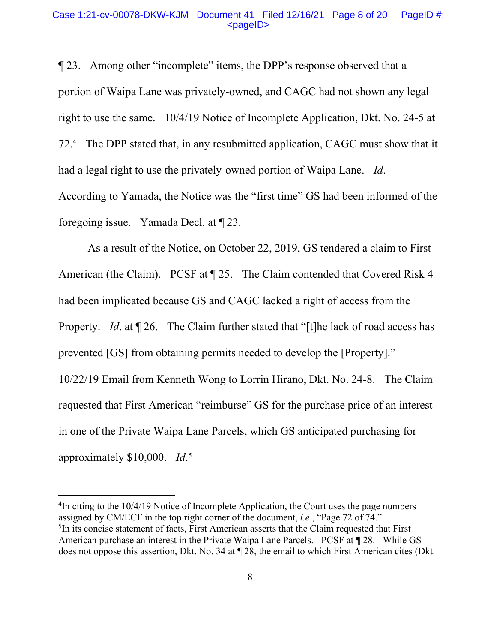#### Case 1:21-cv-00078-DKW-KJM Document 41 Filed 12/16/21 Page 8 of 20 PageID #:  $<$ pageID $>$

¶ 23. Among other "incomplete" items, the DPP's response observed that a portion of Waipa Lane was privately-owned, and CAGC had not shown any legal right to use the same. 10/4/19 Notice of Incomplete Application, Dkt. No. 24-5 at 72.4 The DPP stated that, in any resubmitted application, CAGC must show that it had a legal right to use the privately-owned portion of Waipa Lane. *Id*. According to Yamada, the Notice was the "first time" GS had been informed of the foregoing issue. Yamada Decl. at ¶ 23.

As a result of the Notice, on October 22, 2019, GS tendered a claim to First American (the Claim). PCSF at  $\P$  25. The Claim contended that Covered Risk 4 had been implicated because GS and CAGC lacked a right of access from the Property. *Id.* at  $\P$  26. The Claim further stated that "[t]he lack of road access has prevented [GS] from obtaining permits needed to develop the [Property]." 10/22/19 Email from Kenneth Wong to Lorrin Hirano, Dkt. No. 24-8. The Claim requested that First American "reimburse" GS for the purchase price of an interest in one of the Private Waipa Lane Parcels, which GS anticipated purchasing for approximately \$10,000. *Id*. 5

 $^{4}$ In citing to the 10/4/19 Notice of Incomplete Application, the Court uses the page numbers assigned by CM/ECF in the top right corner of the document, *i.e*., "Page 72 of 74." <sup>5</sup>In its concise statement of facts, First American asserts that the Claim requested that First American purchase an interest in the Private Waipa Lane Parcels. PCSF at ¶ 28. While GS does not oppose this assertion, Dkt. No. 34 at ¶ 28, the email to which First American cites (Dkt.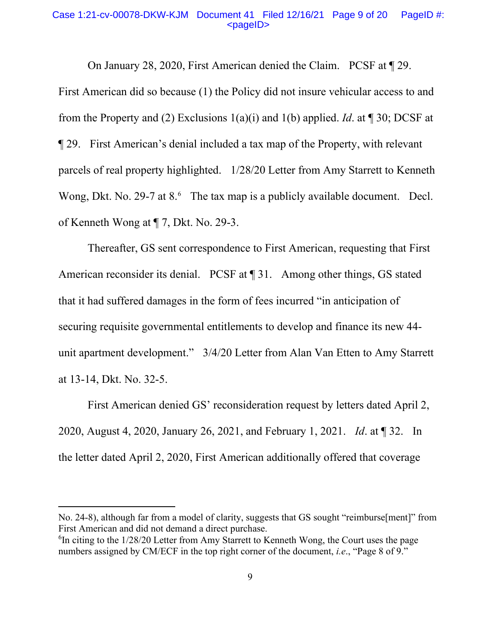#### Case 1:21-cv-00078-DKW-KJM Document 41 Filed 12/16/21 Page 9 of 20 PageID #:  $<$ pageID $>$

On January 28, 2020, First American denied the Claim. PCSF at ¶ 29.

First American did so because (1) the Policy did not insure vehicular access to and from the Property and (2) Exclusions 1(a)(i) and 1(b) applied. *Id*. at ¶ 30; DCSF at ¶ 29. First American's denial included a tax map of the Property, with relevant parcels of real property highlighted. 1/28/20 Letter from Amy Starrett to Kenneth Wong, Dkt. No. 29-7 at 8.<sup>6</sup> The tax map is a publicly available document. Decl. of Kenneth Wong at ¶ 7, Dkt. No. 29-3.

Thereafter, GS sent correspondence to First American, requesting that First American reconsider its denial. PCSF at ¶ 31. Among other things, GS stated that it had suffered damages in the form of fees incurred "in anticipation of securing requisite governmental entitlements to develop and finance its new 44 unit apartment development." 3/4/20 Letter from Alan Van Etten to Amy Starrett at 13-14, Dkt. No. 32-5.

First American denied GS' reconsideration request by letters dated April 2, 2020, August 4, 2020, January 26, 2021, and February 1, 2021. *Id*. at ¶ 32. In the letter dated April 2, 2020, First American additionally offered that coverage

No. 24-8), although far from a model of clarity, suggests that GS sought "reimburse[ment]" from First American and did not demand a direct purchase.

 ${}^{6}$ In citing to the 1/28/20 Letter from Amy Starrett to Kenneth Wong, the Court uses the page numbers assigned by CM/ECF in the top right corner of the document, *i.e*., "Page 8 of 9."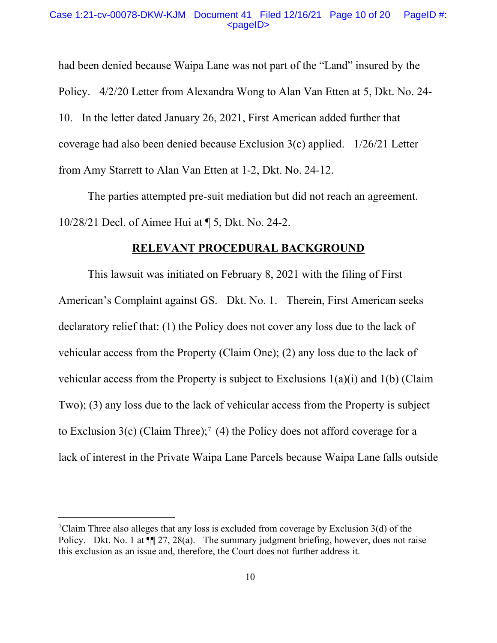had been denied because Waipa Lane was not part of the "Land" insured by the Policy. 4/2/20 Letter from Alexandra Wong to Alan Van Etten at 5, Dkt. No. 24- 10. In the letter dated January 26, 2021, First American added further that coverage had also been denied because Exclusion 3(c) applied. 1/26/21 Letter from Amy Starrett to Alan Van Etten at 1-2, Dkt. No. 24-12.

The parties attempted pre-suit mediation but did not reach an agreement. 10/28/21 Decl. of Aimee Hui at ¶ 5, Dkt. No. 24-2.

#### **RELEVANT PROCEDURAL BACKGROUND**

This lawsuit was initiated on February 8, 2021 with the filing of First American's Complaint against GS. Dkt. No. 1. Therein, First American seeks declaratory relief that: (1) the Policy does not cover any loss due to the lack of vehicular access from the Property (Claim One); (2) any loss due to the lack of vehicular access from the Property is subject to Exclusions 1(a)(i) and 1(b) (Claim Two); (3) any loss due to the lack of vehicular access from the Property is subject to Exclusion  $3(c)$  (Claim Three);<sup>7</sup> (4) the Policy does not afford coverage for a lack of interest in the Private Waipa Lane Parcels because Waipa Lane falls outside

<sup>&</sup>lt;sup>7</sup>Claim Three also alleges that any loss is excluded from coverage by Exclusion  $3(d)$  of the Policy. Dkt. No. 1 at  $\P$  27, 28(a). The summary judgment briefing, however, does not raise this exclusion as an issue and, therefore, the Court does not further address it.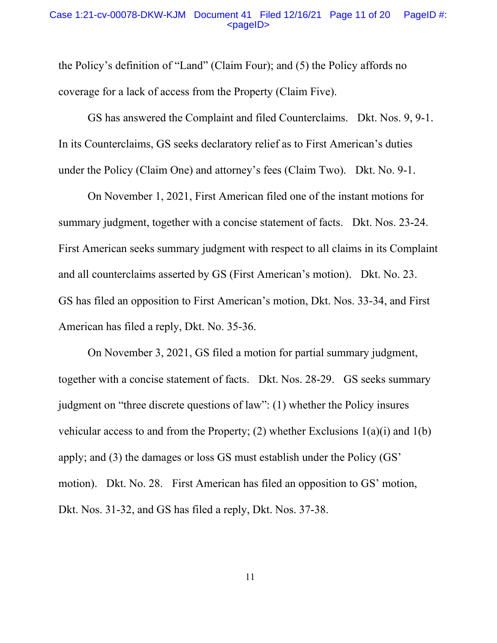#### Case 1:21-cv-00078-DKW-KJM Document 41 Filed 12/16/21 Page 11 of 20 PageID #: <pageID>

the Policy's definition of "Land" (Claim Four); and (5) the Policy affords no coverage for a lack of access from the Property (Claim Five).

GS has answered the Complaint and filed Counterclaims. Dkt. Nos. 9, 9-1. In its Counterclaims, GS seeks declaratory relief as to First American's duties under the Policy (Claim One) and attorney's fees (Claim Two). Dkt. No. 9-1.

On November 1, 2021, First American filed one of the instant motions for summary judgment, together with a concise statement of facts. Dkt. Nos. 23-24. First American seeks summary judgment with respect to all claims in its Complaint and all counterclaims asserted by GS (First American's motion). Dkt. No. 23. GS has filed an opposition to First American's motion, Dkt. Nos. 33-34, and First American has filed a reply, Dkt. No. 35-36.

On November 3, 2021, GS filed a motion for partial summary judgment, together with a concise statement of facts. Dkt. Nos. 28-29. GS seeks summary judgment on "three discrete questions of law": (1) whether the Policy insures vehicular access to and from the Property; (2) whether Exclusions  $1(a)(i)$  and  $1(b)$ apply; and (3) the damages or loss GS must establish under the Policy (GS' motion). Dkt. No. 28. First American has filed an opposition to GS' motion, Dkt. Nos. 31-32, and GS has filed a reply, Dkt. Nos. 37-38.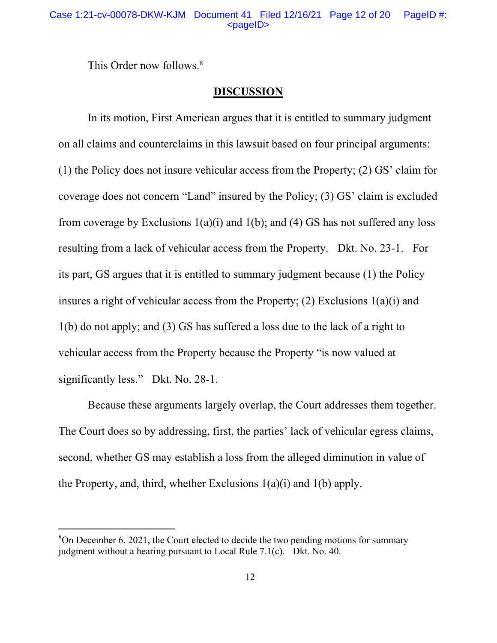This Order now follows.<sup>8</sup>

## **DISCUSSION**

In its motion, First American argues that it is entitled to summary judgment on all claims and counterclaims in this lawsuit based on four principal arguments: (1) the Policy does not insure vehicular access from the Property; (2) GS' claim for coverage does not concern "Land" insured by the Policy; (3) GS' claim is excluded from coverage by Exclusions  $1(a)(i)$  and  $1(b)$ ; and  $(4)$  GS has not suffered any loss resulting from a lack of vehicular access from the Property. Dkt. No. 23-1. For its part, GS argues that it is entitled to summary judgment because (1) the Policy insures a right of vehicular access from the Property; (2) Exclusions 1(a)(i) and 1(b) do not apply; and (3) GS has suffered a loss due to the lack of a right to vehicular access from the Property because the Property "is now valued at significantly less." Dkt. No. 28-1.

Because these arguments largely overlap, the Court addresses them together. The Court does so by addressing, first, the parties' lack of vehicular egress claims, second, whether GS may establish a loss from the alleged diminution in value of the Property, and, third, whether Exclusions 1(a)(i) and 1(b) apply.

 $8$ On December 6, 2021, the Court elected to decide the two pending motions for summary judgment without a hearing pursuant to Local Rule 7.1(c). Dkt. No. 40.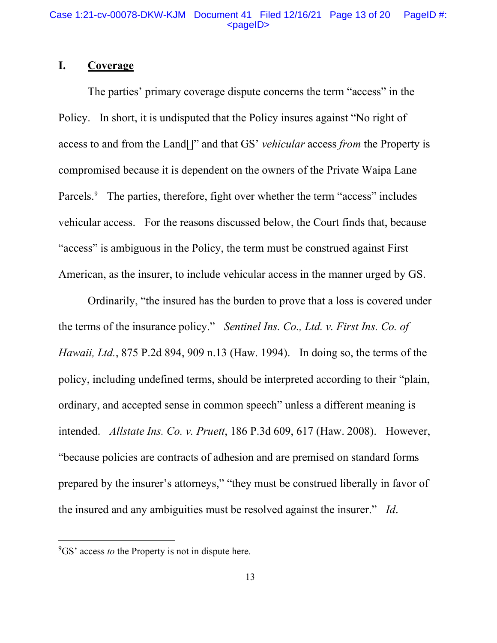## **I. Coverage**

The parties' primary coverage dispute concerns the term "access" in the Policy. In short, it is undisputed that the Policy insures against "No right of access to and from the Land[]" and that GS' *vehicular* access *from* the Property is compromised because it is dependent on the owners of the Private Waipa Lane Parcels. 9 The parties, therefore, fight over whether the term "access" includes vehicular access. For the reasons discussed below, the Court finds that, because "access" is ambiguous in the Policy, the term must be construed against First American, as the insurer, to include vehicular access in the manner urged by GS.

Ordinarily, "the insured has the burden to prove that a loss is covered under the terms of the insurance policy." *Sentinel Ins. Co., Ltd. v. First Ins. Co. of Hawaii, Ltd.*, 875 P.2d 894, 909 n.13 (Haw. 1994). In doing so, the terms of the policy, including undefined terms, should be interpreted according to their "plain, ordinary, and accepted sense in common speech" unless a different meaning is intended. *Allstate Ins. Co. v. Pruett*, 186 P.3d 609, 617 (Haw. 2008). However, "because policies are contracts of adhesion and are premised on standard forms prepared by the insurer's attorneys," "they must be construed liberally in favor of the insured and any ambiguities must be resolved against the insurer." *Id*.

<sup>&</sup>lt;sup>9</sup>GS' access *to* the Property is not in dispute here.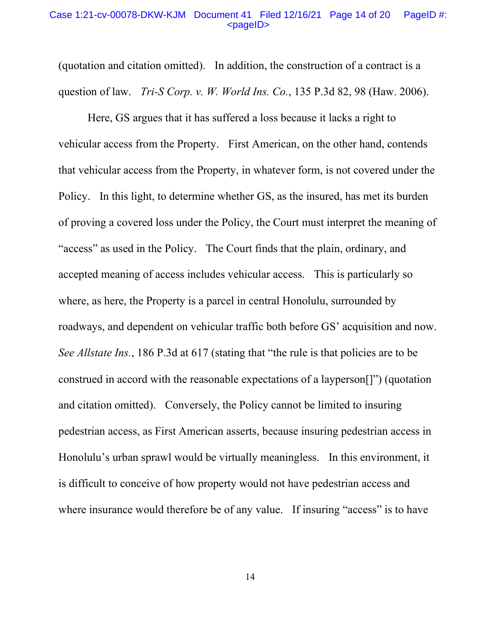#### Case 1:21-cv-00078-DKW-KJM Document 41 Filed 12/16/21 Page 14 of 20 PageID #: <pageID>

(quotation and citation omitted). In addition, the construction of a contract is a question of law. *Tri-S Corp. v. W. World Ins. Co.*, 135 P.3d 82, 98 (Haw. 2006).

Here, GS argues that it has suffered a loss because it lacks a right to vehicular access from the Property. First American, on the other hand, contends that vehicular access from the Property, in whatever form, is not covered under the Policy. In this light, to determine whether GS, as the insured, has met its burden of proving a covered loss under the Policy, the Court must interpret the meaning of "access" as used in the Policy. The Court finds that the plain, ordinary, and accepted meaning of access includes vehicular access. This is particularly so where, as here, the Property is a parcel in central Honolulu, surrounded by roadways, and dependent on vehicular traffic both before GS' acquisition and now. *See Allstate Ins.*, 186 P.3d at 617 (stating that "the rule is that policies are to be construed in accord with the reasonable expectations of a layperson[]") (quotation and citation omitted). Conversely, the Policy cannot be limited to insuring pedestrian access, as First American asserts, because insuring pedestrian access in Honolulu's urban sprawl would be virtually meaningless. In this environment, it is difficult to conceive of how property would not have pedestrian access and where insurance would therefore be of any value. If insuring "access" is to have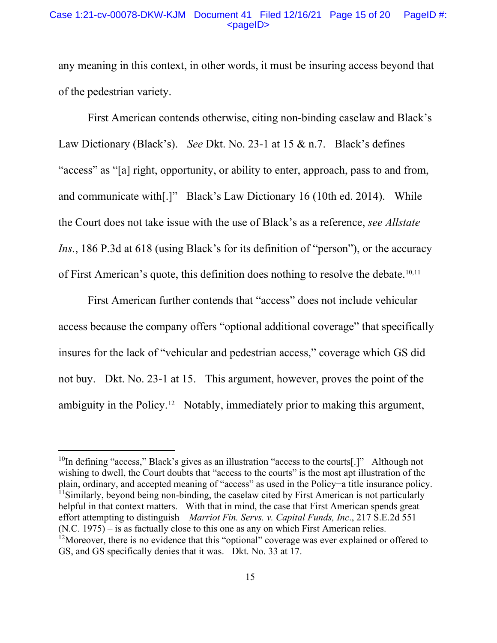#### Case 1:21-cv-00078-DKW-KJM Document 41 Filed 12/16/21 Page 15 of 20 PageID #:  $<$ pageID $>$

any meaning in this context, in other words, it must be insuring access beyond that of the pedestrian variety.

First American contends otherwise, citing non-binding caselaw and Black's Law Dictionary (Black's). *See* Dkt. No. 23-1 at 15 & n.7. Black's defines "access" as "[a] right, opportunity, or ability to enter, approach, pass to and from, and communicate with[.]" Black's Law Dictionary 16 (10th ed. 2014). While the Court does not take issue with the use of Black's as a reference, *see Allstate Ins.*, 186 P.3d at 618 (using Black's for its definition of "person"), or the accuracy of First American's quote, this definition does nothing to resolve the debate.<sup>10,11</sup>

First American further contends that "access" does not include vehicular access because the company offers "optional additional coverage" that specifically insures for the lack of "vehicular and pedestrian access," coverage which GS did not buy. Dkt. No. 23-1 at 15. This argument, however, proves the point of the ambiguity in the Policy.12 Notably, immediately prior to making this argument,

 $10$ In defining "access," Black's gives as an illustration "access to the courts[.]" Although not wishing to dwell, the Court doubts that "access to the courts" is the most apt illustration of the plain, ordinary, and accepted meaning of "access" as used in the Policy−a title insurance policy. <sup>11</sup>Similarly, beyond being non-binding, the caselaw cited by First American is not particularly helpful in that context matters. With that in mind, the case that First American spends great effort attempting to distinguish – *Marriot Fin. Servs. v. Capital Funds, Inc*., 217 S.E.2d 551 (N.C. 1975) – is as factually close to this one as any on which First American relies. <sup>12</sup>Moreover, there is no evidence that this "optional" coverage was ever explained or offered to GS, and GS specifically denies that it was. Dkt. No. 33 at 17.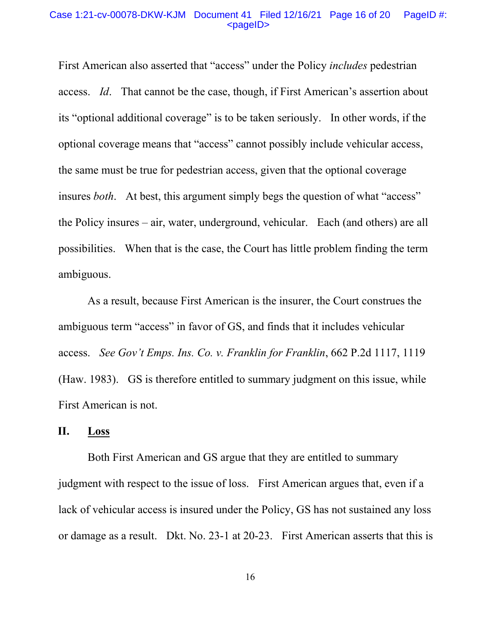#### Case 1:21-cv-00078-DKW-KJM Document 41 Filed 12/16/21 Page 16 of 20 PageID #: <pageID>

First American also asserted that "access" under the Policy *includes* pedestrian access. *Id*. That cannot be the case, though, if First American's assertion about its "optional additional coverage" is to be taken seriously. In other words, if the optional coverage means that "access" cannot possibly include vehicular access, the same must be true for pedestrian access, given that the optional coverage insures *both*. At best, this argument simply begs the question of what "access" the Policy insures – air, water, underground, vehicular. Each (and others) are all possibilities. When that is the case, the Court has little problem finding the term ambiguous.

As a result, because First American is the insurer, the Court construes the ambiguous term "access" in favor of GS, and finds that it includes vehicular access. *See Gov't Emps. Ins. Co. v. Franklin for Franklin*, 662 P.2d 1117, 1119 (Haw. 1983). GS is therefore entitled to summary judgment on this issue, while First American is not.

# **II. Loss**

Both First American and GS argue that they are entitled to summary judgment with respect to the issue of loss. First American argues that, even if a lack of vehicular access is insured under the Policy, GS has not sustained any loss or damage as a result. Dkt. No. 23-1 at 20-23. First American asserts that this is

16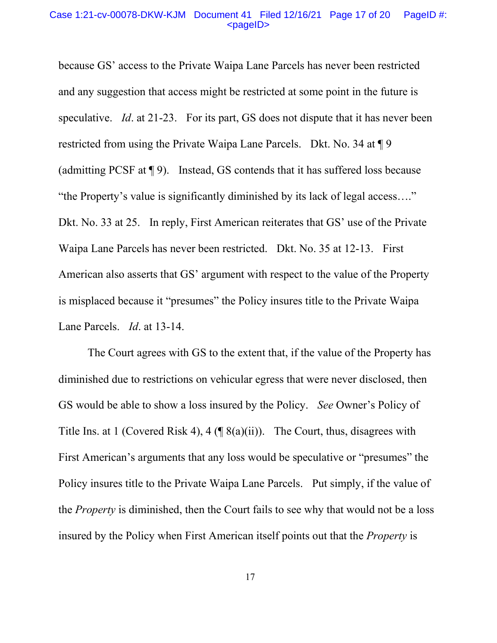#### Case 1:21-cv-00078-DKW-KJM Document 41 Filed 12/16/21 Page 17 of 20 PageID #: <pageID>

because GS' access to the Private Waipa Lane Parcels has never been restricted and any suggestion that access might be restricted at some point in the future is speculative. *Id.* at 21-23. For its part, GS does not dispute that it has never been restricted from using the Private Waipa Lane Parcels. Dkt. No. 34 at ¶ 9 (admitting PCSF at ¶ 9). Instead, GS contends that it has suffered loss because "the Property's value is significantly diminished by its lack of legal access…." Dkt. No. 33 at 25. In reply, First American reiterates that GS' use of the Private Waipa Lane Parcels has never been restricted. Dkt. No. 35 at 12-13. First American also asserts that GS' argument with respect to the value of the Property is misplaced because it "presumes" the Policy insures title to the Private Waipa Lane Parcels. *Id*. at 13-14.

The Court agrees with GS to the extent that, if the value of the Property has diminished due to restrictions on vehicular egress that were never disclosed, then GS would be able to show a loss insured by the Policy. *See* Owner's Policy of Title Ins. at 1 (Covered Risk 4), 4 ( $\sqrt{\frac{8(a)(ii)}}$ ). The Court, thus, disagrees with First American's arguments that any loss would be speculative or "presumes" the Policy insures title to the Private Waipa Lane Parcels. Put simply, if the value of the *Property* is diminished, then the Court fails to see why that would not be a loss insured by the Policy when First American itself points out that the *Property* is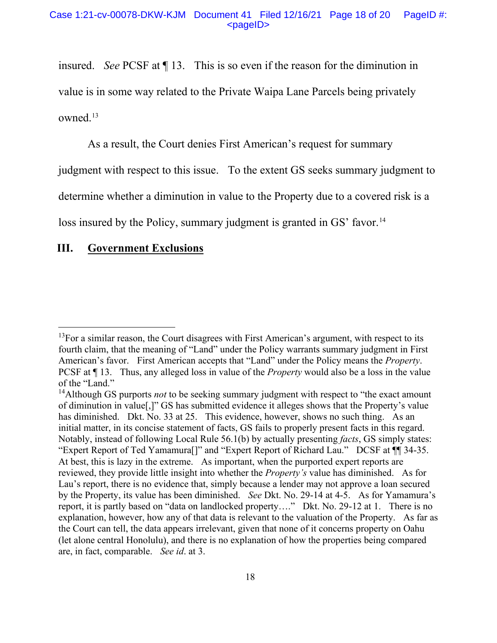insured. *See* PCSF at ¶ 13. This is so even if the reason for the diminution in value is in some way related to the Private Waipa Lane Parcels being privately owned.13

As a result, the Court denies First American's request for summary judgment with respect to this issue. To the extent GS seeks summary judgment to determine whether a diminution in value to the Property due to a covered risk is a loss insured by the Policy, summary judgment is granted in GS' favor.<sup>14</sup>

## **III. Government Exclusions**

 $13$ For a similar reason, the Court disagrees with First American's argument, with respect to its fourth claim, that the meaning of "Land" under the Policy warrants summary judgment in First American's favor. First American accepts that "Land" under the Policy means the *Property*. PCSF at ¶ 13. Thus, any alleged loss in value of the *Property* would also be a loss in the value of the "Land."

<sup>&</sup>lt;sup>14</sup>Although GS purports *not* to be seeking summary judgment with respect to "the exact amount" of diminution in value[,]" GS has submitted evidence it alleges shows that the Property's value has diminished. Dkt. No. 33 at 25. This evidence, however, shows no such thing. As an initial matter, in its concise statement of facts, GS fails to properly present facts in this regard. Notably, instead of following Local Rule 56.1(b) by actually presenting *facts*, GS simply states: "Expert Report of Ted Yamamura[]" and "Expert Report of Richard Lau." DCSF at ¶¶ 34-35. At best, this is lazy in the extreme. As important, when the purported expert reports are reviewed, they provide little insight into whether the *Property's* value has diminished. As for Lau's report, there is no evidence that, simply because a lender may not approve a loan secured by the Property, its value has been diminished. *See* Dkt. No. 29-14 at 4-5. As for Yamamura's report, it is partly based on "data on landlocked property…." Dkt. No. 29-12 at 1. There is no explanation, however, how any of that data is relevant to the valuation of the Property. As far as the Court can tell, the data appears irrelevant, given that none of it concerns property on Oahu (let alone central Honolulu), and there is no explanation of how the properties being compared are, in fact, comparable. *See id*. at 3.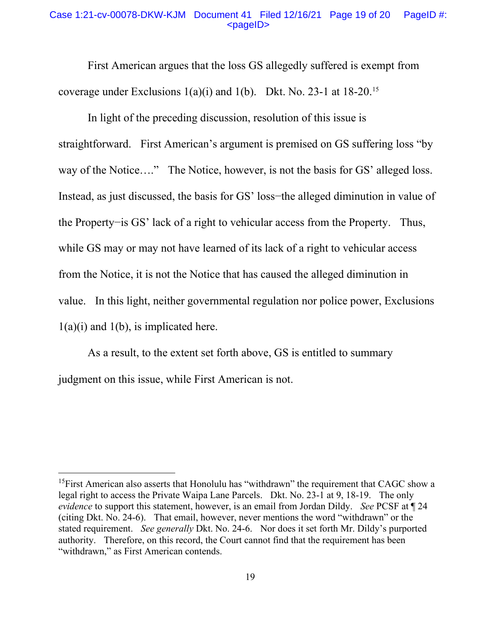#### Case 1:21-cv-00078-DKW-KJM Document 41 Filed 12/16/21 Page 19 of 20 PageID #:  $<$ pageID $>$

First American argues that the loss GS allegedly suffered is exempt from coverage under Exclusions  $1(a)(i)$  and  $1(b)$ . Dkt. No. 23-1 at  $18-20$ <sup>15</sup>

In light of the preceding discussion, resolution of this issue is straightforward. First American's argument is premised on GS suffering loss "by way of the Notice...." The Notice, however, is not the basis for GS' alleged loss. Instead, as just discussed, the basis for GS' loss−the alleged diminution in value of the Property−is GS' lack of a right to vehicular access from the Property. Thus, while GS may or may not have learned of its lack of a right to vehicular access from the Notice, it is not the Notice that has caused the alleged diminution in value. In this light, neither governmental regulation nor police power, Exclusions  $1(a)(i)$  and  $1(b)$ , is implicated here.

As a result, to the extent set forth above, GS is entitled to summary judgment on this issue, while First American is not.

<sup>&</sup>lt;sup>15</sup>First American also asserts that Honolulu has "withdrawn" the requirement that CAGC show a legal right to access the Private Waipa Lane Parcels. Dkt. No. 23-1 at 9, 18-19. The only *evidence* to support this statement, however, is an email from Jordan Dildy. *See* PCSF at ¶ 24 (citing Dkt. No. 24-6). That email, however, never mentions the word "withdrawn" or the stated requirement. *See generally* Dkt. No. 24-6. Nor does it set forth Mr. Dildy's purported authority. Therefore, on this record, the Court cannot find that the requirement has been "withdrawn," as First American contends.